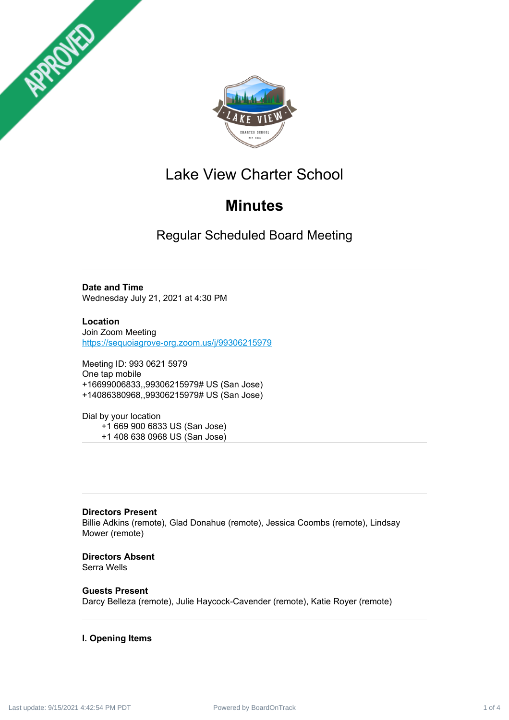



## Lake View Charter School

## **Minutes**

Regular Scheduled Board Meeting

**Date and Time** Wednesday July 21, 2021 at 4:30 PM

**Location** Join Zoom Meeting <https://sequoiagrove-org.zoom.us/j/99306215979>

Meeting ID: 993 0621 5979 One tap mobile +16699006833,,99306215979# US (San Jose) +14086380968,,99306215979# US (San Jose)

Dial by your location +1 669 900 6833 US (San Jose) +1 408 638 0968 US (San Jose)

**Directors Present** Billie Adkins (remote), Glad Donahue (remote), Jessica Coombs (remote), Lindsay Mower (remote)

**Directors Absent** Serra Wells

**Guests Present** Darcy Belleza (remote), Julie Haycock-Cavender (remote), Katie Royer (remote)

### **I. Opening Items**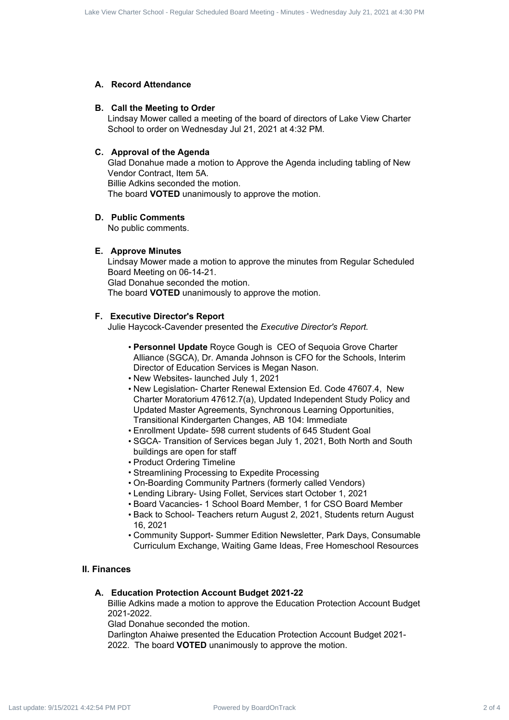#### **A. Record Attendance**

#### **B. Call the Meeting to Order**

Lindsay Mower called a meeting of the board of directors of Lake View Charter School to order on Wednesday Jul 21, 2021 at 4:32 PM.

#### **C. Approval of the Agenda**

Glad Donahue made a motion to Approve the Agenda including tabling of New Vendor Contract, Item 5A. Billie Adkins seconded the motion. The board **VOTED** unanimously to approve the motion.

#### **D. Public Comments**

No public comments.

#### **E. Approve Minutes**

Lindsay Mower made a motion to approve the minutes from Regular Scheduled Board Meeting on 06-14-21. Glad Donahue seconded the motion. The board **VOTED** unanimously to approve the motion. one of 4 Care Studie Impair Scheduled Board of 4 Power Charter Schedule 2 of 4 Care Scheduled Board Charter School - Regular Scheduled Board Charter Scheduled Board Charter Scheduled Board Charter Scheduled Board On Alex

#### **F. Executive Director's Report**

Julie Haycock-Cavender presented the *Executive Director's Report.*

- **Personnel Update** Royce Gough is CEO of Sequoia Grove Charter Alliance (SGCA), Dr. Amanda Johnson is CFO for the Schools, Interim Director of Education Services is Megan Nason.
- New Websites- launched July 1, 2021
- New Legislation- Charter Renewal Extension Ed. Code 47607.4, New Charter Moratorium 47612.7(a), Updated Independent Study Policy and Updated Master Agreements, Synchronous Learning Opportunities, Transitional Kindergarten Changes, AB 104: Immediate
- Enrollment Update- 598 current students of 645 Student Goal
- SGCA- Transition of Services began July 1, 2021, Both North and South buildings are open for staff
- Product Ordering Timeline
- Streamlining Processing to Expedite Processing
- On-Boarding Community Partners (formerly called Vendors)
- Lending Library- Using Follet, Services start October 1, 2021
- Board Vacancies- 1 School Board Member, 1 for CSO Board Member
- Back to School- Teachers return August 2, 2021, Students return August 16, 2021
- Community Support- Summer Edition Newsletter, Park Days, Consumable Curriculum Exchange, Waiting Game Ideas, Free Homeschool Resources

#### **II. Finances**

#### **A. Education Protection Account Budget 2021-22**

Billie Adkins made a motion to approve the Education Protection Account Budget 2021-2022.

Glad Donahue seconded the motion.

Darlington Ahaiwe presented the Education Protection Account Budget 2021- 2022. The board **VOTED** unanimously to approve the motion.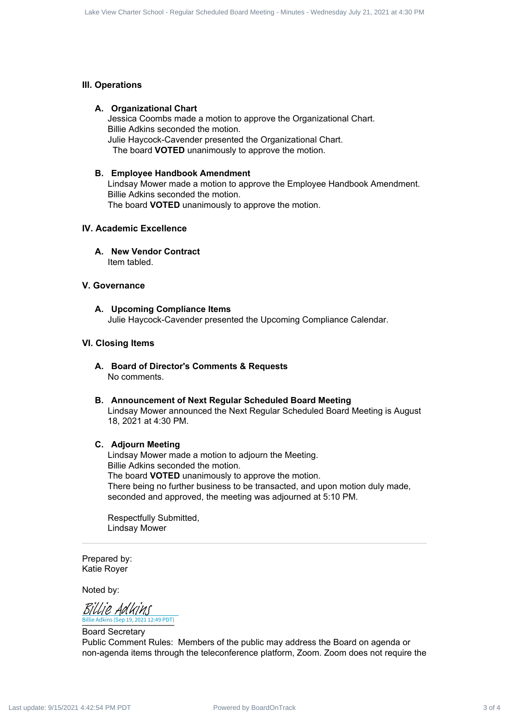#### **III. Operations**

#### **A. Organizational Chart**

Jessica Coombs made a motion to approve the Organizational Chart. Billie Adkins seconded the motion. Julie Haycock-Cavender presented the Organizational Chart.

The board **VOTED** unanimously to approve the motion.

#### **B. Employee Handbook Amendment**

Lindsay Mower made a motion to approve the Employee Handbook Amendment. Billie Adkins seconded the motion. The board **VOTED** unanimously to approve the motion.

#### **IV. Academic Excellence**

**A. New Vendor Contract** Item tabled.

#### **V. Governance**

**A. Upcoming Compliance Items** Julie Haycock-Cavender presented the Upcoming Compliance Calendar.

#### **VI. Closing Items**

**A. Board of Director's Comments & Requests** No comments.

#### **B. Announcement of Next Regular Scheduled Board Meeting** Lindsay Mower announced the Next Regular Scheduled Board Meeting is August 18, 2021 at 4:30 PM.

#### **C. Adjourn Meeting**

Lindsay Mower made a motion to adjourn the Meeting. Billie Adkins seconded the motion. The board **VOTED** unanimously to approve the motion. There being no further business to be transacted, and upon motion duly made, seconded and approved, the meeting was adjourned at 5:10 PM. Contract 3 of 4 Care Studies Scheduled Board 2 of 4 Lake View Charter Schedule Art 2022 of 4 Lake View Charter Schedule Board 2 of 4 Lake View Charter Schedule Board Meeting - The Charter Schedule Board Meeting - The Chart

Respectfully Submitted, Lindsay Mower

Prepared by: Katie Royer

Noted by:

\_\_\_\_\_\_\_\_\_\_\_\_\_\_\_\_\_\_\_ Billie Adkins (Sep 19, 2021 12:49 PDT) [Billie Adkins](https://na2.documents.adobe.com/verifier?tx=CBJCHBCAABAAfvwDuAE21lxjgjX-Zp9R37FaSjBJqJfo)

Board Secretary Public Comment Rules: Members of the public may address the Board on agenda or non-agenda items through the teleconference platform, Zoom. Zoom does not require the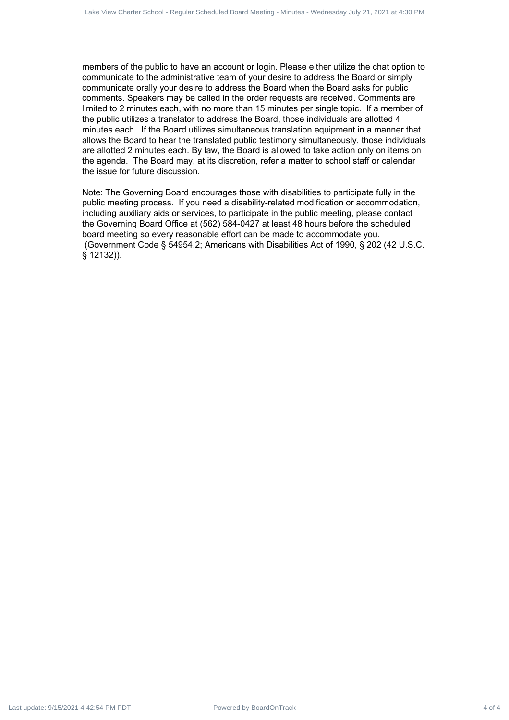members of the public to have an account or login. Please either utilize the chat option to communicate to the administrative team of your desire to address the Board or simply communicate orally your desire to address the Board when the Board asks for public comments. Speakers may be called in the order requests are received. Comments are limited to 2 minutes each, with no more than 15 minutes per single topic. If a member of the public utilizes a translator to address the Board, those individuals are allotted 4 minutes each. If the Board utilizes simultaneous translation equipment in a manner that allows the Board to hear the translated public testimony simultaneously, those individuals are allotted 2 minutes each. By law, the Board is allowed to take action only on items on the agenda. The Board may, at its discretion, refer a matter to school staff or calendar the issue for future discussion.  $\mu$ ardon Contract 4 of 4 Day and the second by Board - Regular School - Regular Schedule Board - Regular School - Regular Schedule Board - Regular Schedule Board - Regular Schedule Board - Regular Schedule Board - Regula

Note: The Governing Board encourages those with disabilities to participate fully in the public meeting process. If you need a disability-related modification or accommodation, including auxiliary aids or services, to participate in the public meeting, please contact the Governing Board Office at (562) 584-0427 at least 48 hours before the scheduled board meeting so every reasonable effort can be made to accommodate you. (Government Code § 54954.2; Americans with Disabilities Act of 1990, § 202 (42 U.S.C. § 12132)).